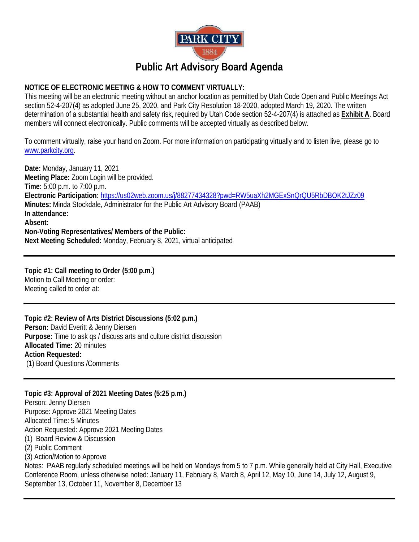

## **NOTICE OF ELECTRONIC MEETING & HOW TO COMMENT VIRTUALLY:**

This meeting will be an electronic meeting without an anchor location as permitted by Utah Code Open and Public Meetings Act section 52-4-207(4) as adopted June 25, 2020, and Park City Resolution 18-2020, adopted March 19, 2020. The written determination of a substantial health and safety risk, required by Utah Code section 52-4-207(4) is attached as **Exhibit A**. Board members will connect electronically. Public comments will be accepted virtually as described below.

To comment virtually, raise your hand on Zoom. For more information on participating virtually and to listen live, please go to [www.parkcity.org.](http://www.parkcity.org/)

**Date:** Monday, January 11, 2021 **Meeting Place:** Zoom Login will be provided. **Time:** 5:00 p.m. to 7:00 p.m. **Electronic Participation:** <https://us02web.zoom.us/j/88277434328?pwd=RW5uaXh2MGExSnQrQU5RbDBOK2tJZz09> **Minutes:** Minda Stockdale, Administrator for the Public Art Advisory Board (PAAB) **In attendance: Absent: Non-Voting Representatives/ Members of the Public: Next Meeting Scheduled:** Monday, February 8, 2021, virtual anticipated

**Topic #1: Call meeting to Order (5:00 p.m.)** Motion to Call Meeting or order: Meeting called to order at:

**Topic #2: Review of Arts District Discussions (5:02 p.m.) Person:** David Everitt & Jenny Diersen **Purpose:** Time to ask qs / discuss arts and culture district discussion **Allocated Time:** 20 minutes **Action Requested:**  (1) Board Questions /Comments

**Topic #3: Approval of 2021 Meeting Dates (5:25 p.m.)** Person: Jenny Diersen Purpose: Approve 2021 Meeting Dates Allocated Time: 5 Minutes Action Requested: Approve 2021 Meeting Dates (1) Board Review & Discussion (2) Public Comment (3) Action/Motion to Approve Notes: PAAB regularly scheduled meetings will be held on Mondays from 5 to 7 p.m. While generally held at City Hall, Executive Conference Room, unless otherwise noted: January 11, February 8, March 8, April 12, May 10, June 14, July 12, August 9, September 13, October 11, November 8, December 13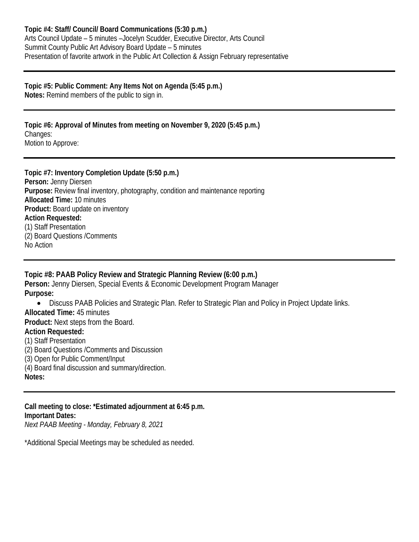# **Topic #5: Public Comment: Any Items Not on Agenda (5:45 p.m.)**

**Notes:** Remind members of the public to sign in.

#### **Topic #6: Approval of Minutes from meeting on November 9, 2020 (5:45 p.m.)** Changes: Motion to Approve:

**Topic #7: Inventory Completion Update (5:50 p.m.) Person:** Jenny Diersen **Purpose:** Review final inventory, photography, condition and maintenance reporting **Allocated Time:** 10 minutes **Product:** Board update on inventory **Action Requested:**  (1) Staff Presentation (2) Board Questions /Comments No Action

## **Topic #8: PAAB Policy Review and Strategic Planning Review (6:00 p.m.) Person:** Jenny Diersen, Special Events & Economic Development Program Manager **Purpose:** • Discuss PAAB Policies and Strategic Plan. Refer to Strategic Plan and Policy in Project Update links. **Allocated Time:** 45 minutes **Product:** Next steps from the Board. **Action Requested:** (1) Staff Presentation (2) Board Questions /Comments and Discussion (3) Open for Public Comment/Input (4) Board final discussion and summary/direction. **Notes:**

**Call meeting to close: \*Estimated adjournment at 6:45 p.m. Important Dates:** *Next PAAB Meeting - Monday, February 8, 2021*

\*Additional Special Meetings may be scheduled as needed.